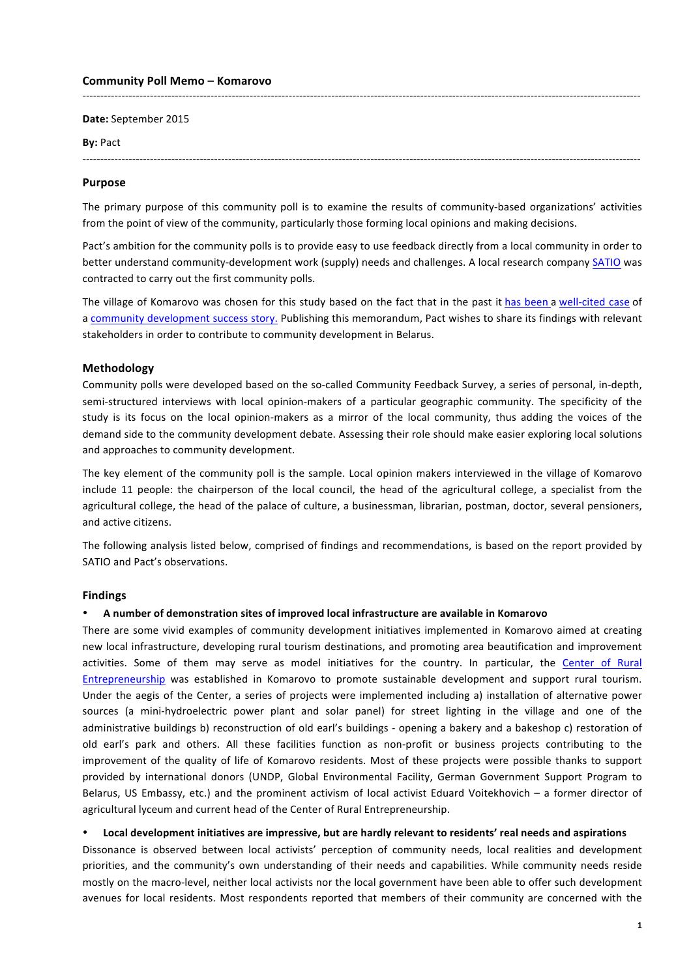### **Community Poll Memo – Komarovo**

**Date:** September 2015 

### **By:** Pact

-------------------------------------------------------------------------------------------------------------------------------------------------------------

-------------------------------------------------------------------------------------------------------------------------------------------------------------

### **Purpose**

The primary purpose of this community poll is to examine the results of community-based organizations' activities from the point of view of the community, particularly those forming local opinions and making decisions.

Pact's ambition for the community polls is to provide easy to use feedback directly from a local community in order to better understand community-development work (supply) needs and challenges. A local research company SATIO was contracted to carry out the first community polls.

The village of Komarovo was chosen for this study based on the fact that in the past it has been a well-cited case of a community development success story. Publishing this memorandum, Pact wishes to share its findings with relevant stakeholders in order to contribute to community development in Belarus.

## **Methodology**

Community polls were developed based on the so-called Community Feedback Survey, a series of personal, in-depth, semi-structured interviews with local opinion-makers of a particular geographic community. The specificity of the study is its focus on the local opinion-makers as a mirror of the local community, thus adding the voices of the demand side to the community development debate. Assessing their role should make easier exploring local solutions and approaches to community development.

The key element of the community poll is the sample. Local opinion makers interviewed in the village of Komarovo include 11 people: the chairperson of the local council, the head of the agricultural college, a specialist from the agricultural college, the head of the palace of culture, a businessman, librarian, postman, doctor, several pensioners, and active citizens.

The following analysis listed below, comprised of findings and recommendations, is based on the report provided by SATIO and Pact's observations.

## **Findings**

### • **A number of demonstration sites of improved local infrastructure are available in Komarovo**

There are some vivid examples of community development initiatives implemented in Komarovo aimed at creating new local infrastructure, developing rural tourism destinations, and promoting area beautification and improvement activities. Some of them may serve as model initiatives for the country. In particular, the Center of Rural Entrepreneurship was established in Komarovo to promote sustainable development and support rural tourism. Under the aegis of the Center, a series of projects were implemented including a) installation of alternative power sources (a mini-hydroelectric power plant and solar panel) for street lighting in the village and one of the administrative buildings b) reconstruction of old earl's buildings - opening a bakery and a bakeshop c) restoration of old earl's park and others. All these facilities function as non-profit or business projects contributing to the improvement of the quality of life of Komarovo residents. Most of these projects were possible thanks to support provided by international donors (UNDP, Global Environmental Facility, German Government Support Program to Belarus, US Embassy, etc.) and the prominent activism of local activist Eduard Voitekhovich – a former director of agricultural lyceum and current head of the Center of Rural Entrepreneurship.

### • **Local development initiatives are impressive, but are hardly relevant to residents' real needs and aspirations**

Dissonance is observed between local activists' perception of community needs, local realities and development priorities, and the community's own understanding of their needs and capabilities. While community needs reside mostly on the macro-level, neither local activists nor the local government have been able to offer such development avenues for local residents. Most respondents reported that members of their community are concerned with the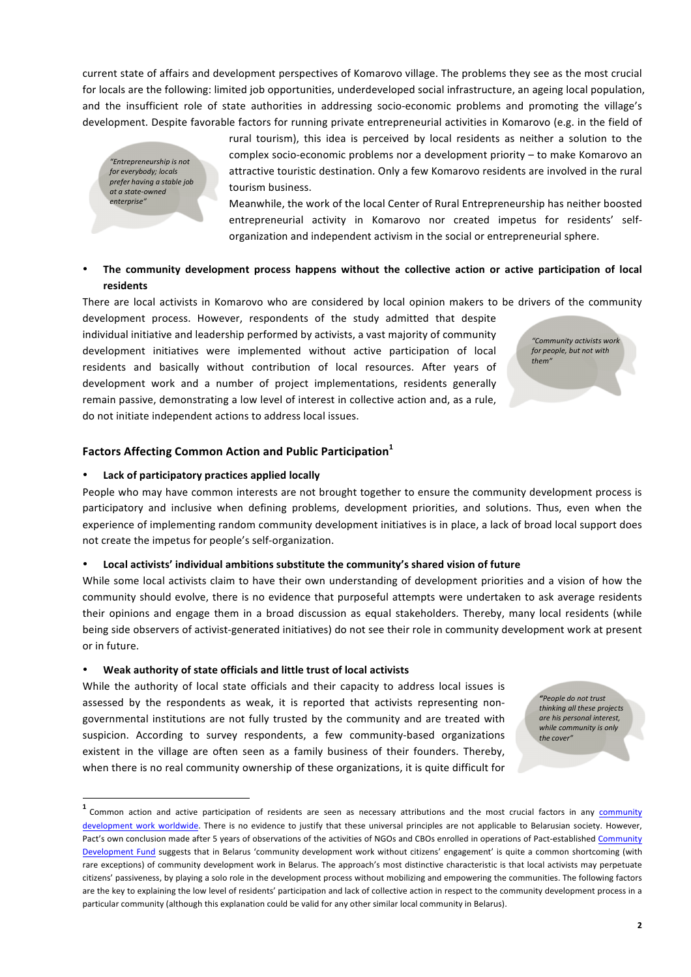**2**

current state of affairs and development perspectives of Komarovo village. The problems they see as the most crucial for locals are the following: limited job opportunities, underdeveloped social infrastructure, an ageing local population, and the insufficient role of state authorities in addressing socio-economic problems and promoting the village's development. Despite favorable factors for running private entrepreneurial activities in Komarovo (e.g. in the field of

*"Entrepreneurship is not*  for everybody; locals *prefer having a stable job at a state-owned enterprise"*

rural tourism), this idea is perceived by local residents as neither a solution to the complex socio-economic problems nor a development priority – to make Komarovo an attractive touristic destination. Only a few Komarovo residents are involved in the rural tourism business.

Meanwhile, the work of the local Center of Rural Entrepreneurship has neither boosted entrepreneurial activity in Komarovo nor created impetus for residents' selforganization and independent activism in the social or entrepreneurial sphere.

# The community development process happens without the collective action or active participation of local **residents**

There are local activists in Komarovo who are considered by local opinion makers to be drivers of the community

development process. However, respondents of the study admitted that despite individual initiative and leadership performed by activists, a vast majority of community development initiatives were implemented without active participation of local residents and basically without contribution of local resources. After years of development work and a number of project implementations, residents generally remain passive, demonstrating a low level of interest in collective action and, as a rule, do not initiate independent actions to address local issues.

# Factors Affecting Common Action and Public Participation<sup>1</sup>

## **Lack of participatory practices applied locally**

People who may have common interests are not brought together to ensure the community development process is participatory and inclusive when defining problems, development priorities, and solutions. Thus, even when the experience of implementing random community development initiatives is in place, a lack of broad local support does not create the impetus for people's self-organization.

## Local activists' individual ambitions substitute the community's shared vision of future

While some local activists claim to have their own understanding of development priorities and a vision of how the community should evolve, there is no evidence that purposeful attempts were undertaken to ask average residents their opinions and engage them in a broad discussion as equal stakeholders. Thereby, many local residents (while being side observers of activist-generated initiatives) do not see their role in community development work at present or in future. 

### • **Weak authority of state officials and little trust of local activists**

While the authority of local state officials and their capacity to address local issues is assessed by the respondents as weak, it is reported that activists representing nongovernmental institutions are not fully trusted by the community and are treated with suspicion. According to survey respondents, a few community-based organizations existent in the village are often seen as a family business of their founders. Thereby, when there is no real community ownership of these organizations, it is quite difficult for *"Community activists work for people, but not with them"*

> *"People do not trust thinking all these projects are his personal interest,*  while community is only the cover"

<sup>&</sup>lt;sup>1</sup> Common action and active participation of residents are seen as necessary attributions and the most crucial factors in any **community** development work worldwide. There is no evidence to justify that these universal principles are not applicable to Belarusian society. However, Pact's own conclusion made after 5 years of observations of the activities of NGOs and CBOs enrolled in operations of Pact-established Community Development Fund suggests that in Belarus 'community development work without citizens' engagement' is quite a common shortcoming (with rare exceptions) of community development work in Belarus. The approach's most distinctive characteristic is that local activists may perpetuate citizens' passiveness, by playing a solo role in the development process without mobilizing and empowering the communities. The following factors are the key to explaining the low level of residents' participation and lack of collective action in respect to the community development process in a particular community (although this explanation could be valid for any other similar local community in Belarus).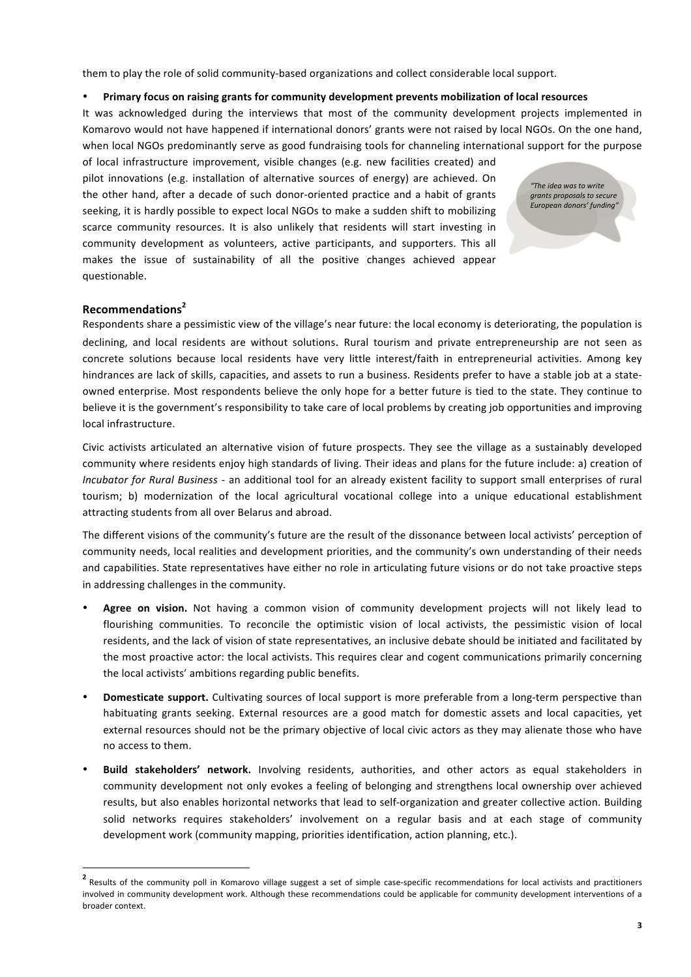them to play the role of solid community-based organizations and collect considerable local support.

## • **Primary focus on raising grants for community development prevents mobilization of local resources**

It was acknowledged during the interviews that most of the community development projects implemented in Komarovo would not have happened if international donors' grants were not raised by local NGOs. On the one hand, when local NGOs predominantly serve as good fundraising tools for channeling international support for the purpose

of local infrastructure improvement, visible changes (e.g. new facilities created) and pilot innovations (e.g. installation of alternative sources of energy) are achieved. On the other hand, after a decade of such donor-oriented practice and a habit of grants seeking, it is hardly possible to expect local NGOs to make a sudden shift to mobilizing scarce community resources. It is also unlikely that residents will start investing in community development as volunteers, active participants, and supporters. This all makes the issue of sustainability of all the positive changes achieved appear questionable. 

*"The idea was to write grants proposals to secure European donors' funding"*

# **Recommendations<sup>2</sup>**

Respondents share a pessimistic view of the village's near future: the local economy is deteriorating, the population is declining, and local residents are without solutions. Rural tourism and private entrepreneurship are not seen as concrete solutions because local residents have very little interest/faith in entrepreneurial activities. Among key hindrances are lack of skills, capacities, and assets to run a business. Residents prefer to have a stable job at a stateowned enterprise. Most respondents believe the only hope for a better future is tied to the state. They continue to believe it is the government's responsibility to take care of local problems by creating job opportunities and improving local infrastructure.

Civic activists articulated an alternative vision of future prospects. They see the village as a sustainably developed community where residents enjoy high standards of living. Their ideas and plans for the future include: a) creation of *Incubator for Rural Business* - an additional tool for an already existent facility to support small enterprises of rural tourism; b) modernization of the local agricultural vocational college into a unique educational establishment attracting students from all over Belarus and abroad.

The different visions of the community's future are the result of the dissonance between local activists' perception of community needs, local realities and development priorities, and the community's own understanding of their needs and capabilities. State representatives have either no role in articulating future visions or do not take proactive steps in addressing challenges in the community.

- Agree on vision. Not having a common vision of community development projects will not likely lead to flourishing communities. To reconcile the optimistic vision of local activists, the pessimistic vision of local residents, and the lack of vision of state representatives, an inclusive debate should be initiated and facilitated by the most proactive actor: the local activists. This requires clear and cogent communications primarily concerning the local activists' ambitions regarding public benefits.
- **Domesticate support.** Cultivating sources of local support is more preferable from a long-term perspective than habituating grants seeking. External resources are a good match for domestic assets and local capacities, yet external resources should not be the primary objective of local civic actors as they may alienate those who have no access to them.
- **Build stakeholders' network.** Involving residents, authorities, and other actors as equal stakeholders in community development not only evokes a feeling of belonging and strengthens local ownership over achieved results, but also enables horizontal networks that lead to self-organization and greater collective action. Building solid networks requires stakeholders' involvement on a regular basis and at each stage of community development work (community mapping, priorities identification, action planning, etc.).

<sup>&</sup>lt;sup>2</sup> Results of the community poll in Komarovo village suggest a set of simple case-specific recommendations for local activists and practitioners involved in community development work. Although these recommendations could be applicable for community development interventions of a broader context.